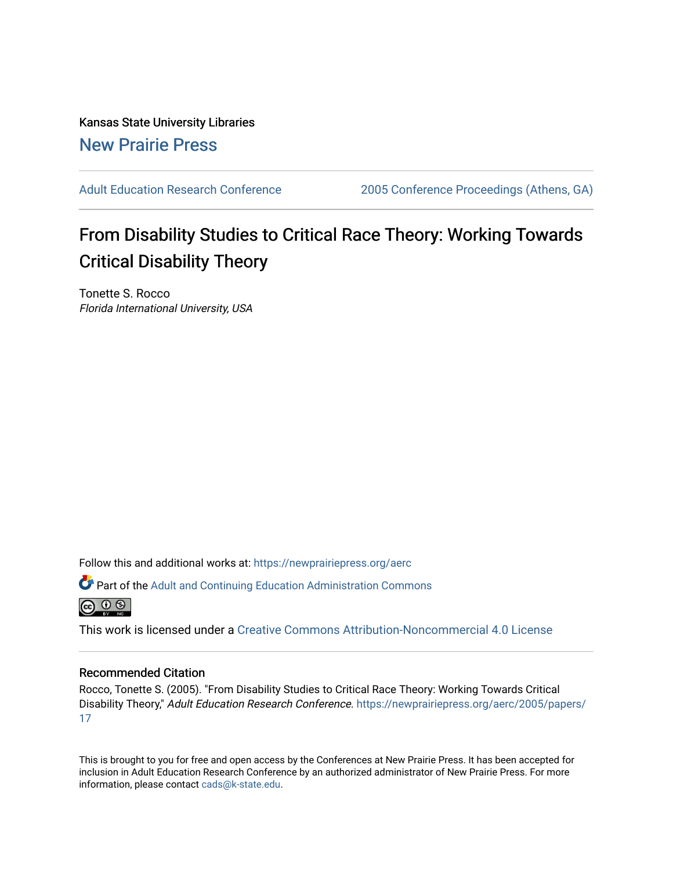Kansas State University Libraries [New Prairie Press](https://newprairiepress.org/) 

[Adult Education Research Conference](https://newprairiepress.org/aerc) [2005 Conference Proceedings \(Athens, GA\)](https://newprairiepress.org/aerc/2005) 

# From Disability Studies to Critical Race Theory: Working Towards Critical Disability Theory

Tonette S. Rocco Florida International University, USA

Follow this and additional works at: [https://newprairiepress.org/aerc](https://newprairiepress.org/aerc?utm_source=newprairiepress.org%2Faerc%2F2005%2Fpapers%2F17&utm_medium=PDF&utm_campaign=PDFCoverPages)

Part of the [Adult and Continuing Education Administration Commons](http://network.bepress.com/hgg/discipline/789?utm_source=newprairiepress.org%2Faerc%2F2005%2Fpapers%2F17&utm_medium=PDF&utm_campaign=PDFCoverPages)



This work is licensed under a [Creative Commons Attribution-Noncommercial 4.0 License](https://creativecommons.org/licenses/by-nc/4.0/)

## Recommended Citation

Rocco, Tonette S. (2005). "From Disability Studies to Critical Race Theory: Working Towards Critical Disability Theory," Adult Education Research Conference. [https://newprairiepress.org/aerc/2005/papers/](https://newprairiepress.org/aerc/2005/papers/17) [17](https://newprairiepress.org/aerc/2005/papers/17)

This is brought to you for free and open access by the Conferences at New Prairie Press. It has been accepted for inclusion in Adult Education Research Conference by an authorized administrator of New Prairie Press. For more information, please contact [cads@k-state.edu](mailto:cads@k-state.edu).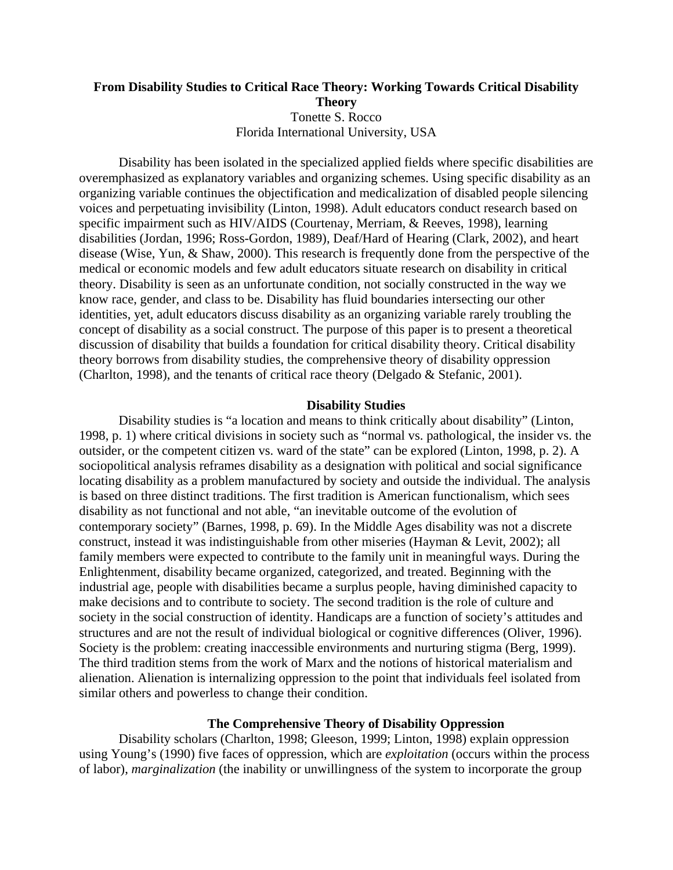# **From Disability Studies to Critical Race Theory: Working Towards Critical Disability Theory**  Tonette S. Rocco Florida International University, USA

Disability has been isolated in the specialized applied fields where specific disabilities are overemphasized as explanatory variables and organizing schemes. Using specific disability as an organizing variable continues the objectification and medicalization of disabled people silencing voices and perpetuating invisibility (Linton, 1998). Adult educators conduct research based on specific impairment such as HIV/AIDS (Courtenay, Merriam, & Reeves, 1998), learning disabilities (Jordan, 1996; Ross-Gordon, 1989), Deaf/Hard of Hearing (Clark, 2002), and heart disease (Wise, Yun, & Shaw, 2000). This research is frequently done from the perspective of the medical or economic models and few adult educators situate research on disability in critical theory. Disability is seen as an unfortunate condition, not socially constructed in the way we know race, gender, and class to be. Disability has fluid boundaries intersecting our other identities, yet, adult educators discuss disability as an organizing variable rarely troubling the concept of disability as a social construct. The purpose of this paper is to present a theoretical discussion of disability that builds a foundation for critical disability theory. Critical disability theory borrows from disability studies, the comprehensive theory of disability oppression (Charlton, 1998), and the tenants of critical race theory (Delgado & Stefanic, 2001).

### **Disability Studies**

Disability studies is "a location and means to think critically about disability" (Linton, 1998, p. 1) where critical divisions in society such as "normal vs. pathological, the insider vs. the outsider, or the competent citizen vs. ward of the state" can be explored (Linton, 1998, p. 2). A sociopolitical analysis reframes disability as a designation with political and social significance locating disability as a problem manufactured by society and outside the individual. The analysis is based on three distinct traditions. The first tradition is American functionalism, which sees disability as not functional and not able, "an inevitable outcome of the evolution of contemporary society" (Barnes, 1998, p. 69). In the Middle Ages disability was not a discrete construct, instead it was indistinguishable from other miseries (Hayman & Levit, 2002); all family members were expected to contribute to the family unit in meaningful ways. During the Enlightenment, disability became organized, categorized, and treated. Beginning with the industrial age, people with disabilities became a surplus people, having diminished capacity to make decisions and to contribute to society. The second tradition is the role of culture and society in the social construction of identity. Handicaps are a function of society's attitudes and structures and are not the result of individual biological or cognitive differences (Oliver, 1996). Society is the problem: creating inaccessible environments and nurturing stigma (Berg, 1999). The third tradition stems from the work of Marx and the notions of historical materialism and alienation. Alienation is internalizing oppression to the point that individuals feel isolated from similar others and powerless to change their condition.

## **The Comprehensive Theory of Disability Oppression**

Disability scholars (Charlton, 1998; Gleeson, 1999; Linton, 1998) explain oppression using Young's (1990) five faces of oppression, which are *exploitation* (occurs within the process of labor), *marginalization* (the inability or unwillingness of the system to incorporate the group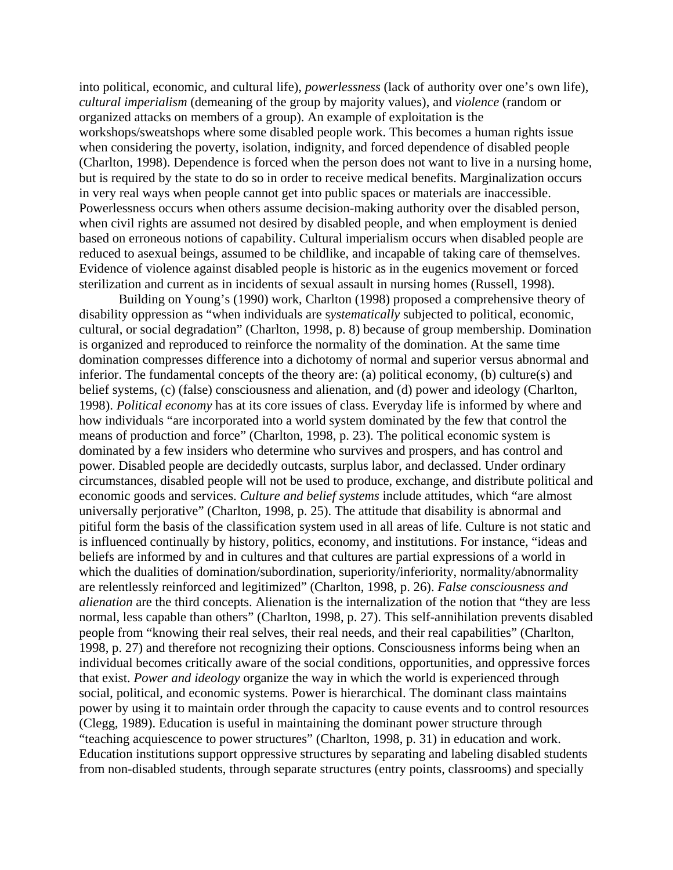into political, economic, and cultural life), *powerlessness* (lack of authority over one's own life), *cultural imperialism* (demeaning of the group by majority values), and *violence* (random or organized attacks on members of a group). An example of exploitation is the workshops/sweatshops where some disabled people work. This becomes a human rights issue when considering the poverty, isolation, indignity, and forced dependence of disabled people (Charlton, 1998). Dependence is forced when the person does not want to live in a nursing home, but is required by the state to do so in order to receive medical benefits. Marginalization occurs in very real ways when people cannot get into public spaces or materials are inaccessible. Powerlessness occurs when others assume decision-making authority over the disabled person, when civil rights are assumed not desired by disabled people, and when employment is denied based on erroneous notions of capability. Cultural imperialism occurs when disabled people are reduced to asexual beings, assumed to be childlike, and incapable of taking care of themselves. Evidence of violence against disabled people is historic as in the eugenics movement or forced sterilization and current as in incidents of sexual assault in nursing homes (Russell, 1998).

Building on Young's (1990) work, Charlton (1998) proposed a comprehensive theory of disability oppression as "when individuals are s*ystematically* subjected to political, economic, cultural, or social degradation" (Charlton, 1998, p. 8) because of group membership. Domination is organized and reproduced to reinforce the normality of the domination. At the same time domination compresses difference into a dichotomy of normal and superior versus abnormal and inferior. The fundamental concepts of the theory are: (a) political economy, (b) culture(s) and belief systems, (c) (false) consciousness and alienation, and (d) power and ideology (Charlton, 1998). *Political economy* has at its core issues of class. Everyday life is informed by where and how individuals "are incorporated into a world system dominated by the few that control the means of production and force" (Charlton, 1998, p. 23). The political economic system is dominated by a few insiders who determine who survives and prospers, and has control and power. Disabled people are decidedly outcasts, surplus labor, and declassed. Under ordinary circumstances, disabled people will not be used to produce, exchange, and distribute political and economic goods and services. *Culture and belief systems* include attitudes, which "are almost universally perjorative" (Charlton, 1998, p. 25). The attitude that disability is abnormal and pitiful form the basis of the classification system used in all areas of life. Culture is not static and is influenced continually by history, politics, economy, and institutions. For instance, "ideas and beliefs are informed by and in cultures and that cultures are partial expressions of a world in which the dualities of domination/subordination, superiority/inferiority, normality/abnormality are relentlessly reinforced and legitimized" (Charlton, 1998, p. 26). *False consciousness and alienation* are the third concepts. Alienation is the internalization of the notion that "they are less normal, less capable than others" (Charlton, 1998, p. 27). This self-annihilation prevents disabled people from "knowing their real selves, their real needs, and their real capabilities" (Charlton, 1998, p. 27) and therefore not recognizing their options. Consciousness informs being when an individual becomes critically aware of the social conditions, opportunities, and oppressive forces that exist. *Power and ideology* organize the way in which the world is experienced through social, political, and economic systems. Power is hierarchical. The dominant class maintains power by using it to maintain order through the capacity to cause events and to control resources (Clegg, 1989). Education is useful in maintaining the dominant power structure through "teaching acquiescence to power structures" (Charlton, 1998, p. 31) in education and work. Education institutions support oppressive structures by separating and labeling disabled students from non-disabled students, through separate structures (entry points, classrooms) and specially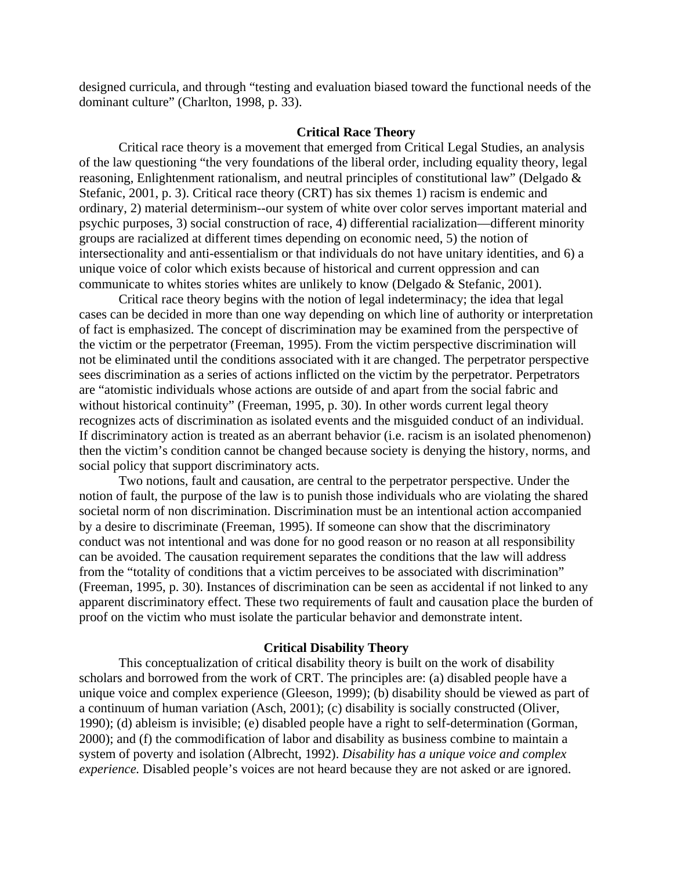designed curricula, and through "testing and evaluation biased toward the functional needs of the dominant culture" (Charlton, 1998, p. 33).

### **Critical Race Theory**

Critical race theory is a movement that emerged from Critical Legal Studies, an analysis of the law questioning "the very foundations of the liberal order, including equality theory, legal reasoning, Enlightenment rationalism, and neutral principles of constitutional law" (Delgado & Stefanic, 2001, p. 3). Critical race theory (CRT) has six themes 1) racism is endemic and ordinary, 2) material determinism--our system of white over color serves important material and psychic purposes, 3) social construction of race, 4) differential racialization—different minority groups are racialized at different times depending on economic need, 5) the notion of intersectionality and anti-essentialism or that individuals do not have unitary identities, and 6) a unique voice of color which exists because of historical and current oppression and can communicate to whites stories whites are unlikely to know (Delgado & Stefanic, 2001).

Critical race theory begins with the notion of legal indeterminacy; the idea that legal cases can be decided in more than one way depending on which line of authority or interpretation of fact is emphasized. The concept of discrimination may be examined from the perspective of the victim or the perpetrator (Freeman, 1995). From the victim perspective discrimination will not be eliminated until the conditions associated with it are changed. The perpetrator perspective sees discrimination as a series of actions inflicted on the victim by the perpetrator. Perpetrators are "atomistic individuals whose actions are outside of and apart from the social fabric and without historical continuity" (Freeman, 1995, p. 30). In other words current legal theory recognizes acts of discrimination as isolated events and the misguided conduct of an individual. If discriminatory action is treated as an aberrant behavior (i.e. racism is an isolated phenomenon) then the victim's condition cannot be changed because society is denying the history, norms, and social policy that support discriminatory acts.

Two notions, fault and causation, are central to the perpetrator perspective. Under the notion of fault, the purpose of the law is to punish those individuals who are violating the shared societal norm of non discrimination. Discrimination must be an intentional action accompanied by a desire to discriminate (Freeman, 1995). If someone can show that the discriminatory conduct was not intentional and was done for no good reason or no reason at all responsibility can be avoided. The causation requirement separates the conditions that the law will address from the "totality of conditions that a victim perceives to be associated with discrimination" (Freeman, 1995, p. 30). Instances of discrimination can be seen as accidental if not linked to any apparent discriminatory effect. These two requirements of fault and causation place the burden of proof on the victim who must isolate the particular behavior and demonstrate intent.

#### **Critical Disability Theory**

This conceptualization of critical disability theory is built on the work of disability scholars and borrowed from the work of CRT. The principles are: (a) disabled people have a unique voice and complex experience (Gleeson, 1999); (b) disability should be viewed as part of a continuum of human variation (Asch, 2001); (c) disability is socially constructed (Oliver, 1990); (d) ableism is invisible; (e) disabled people have a right to self-determination (Gorman, 2000); and (f) the commodification of labor and disability as business combine to maintain a system of poverty and isolation (Albrecht, 1992). *Disability has a unique voice and complex experience*. Disabled people's voices are not heard because they are not asked or are ignored.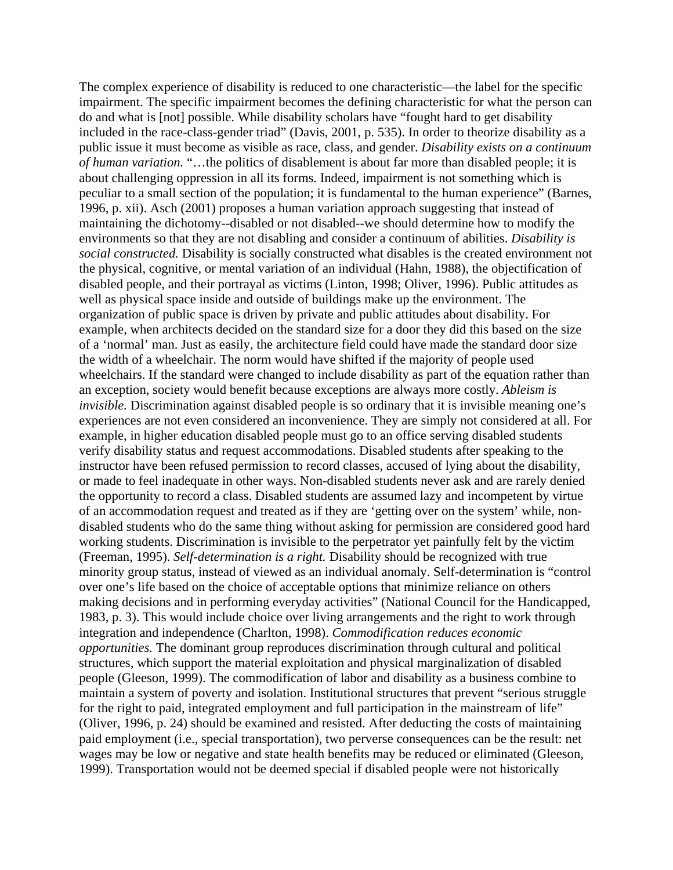The complex experience of disability is reduced to one characteristic—the label for the specific impairment. The specific impairment becomes the defining characteristic for what the person can do and what is [not] possible. While disability scholars have "fought hard to get disability included in the race-class-gender triad" (Davis, 2001, p. 535). In order to theorize disability as a public issue it must become as visible as race, class, and gender. *Disability exists on a continuum of human variation.* "…the politics of disablement is about far more than disabled people; it is about challenging oppression in all its forms. Indeed, impairment is not something which is peculiar to a small section of the population; it is fundamental to the human experience" (Barnes, 1996, p. xii). Asch (2001) proposes a human variation approach suggesting that instead of maintaining the dichotomy--disabled or not disabled--we should determine how to modify the environments so that they are not disabling and consider a continuum of abilities. *Disability is social constructed.* Disability is socially constructed what disables is the created environment not the physical, cognitive, or mental variation of an individual (Hahn, 1988), the objectification of disabled people, and their portrayal as victims (Linton, 1998; Oliver, 1996). Public attitudes as well as physical space inside and outside of buildings make up the environment. The organization of public space is driven by private and public attitudes about disability. For example, when architects decided on the standard size for a door they did this based on the size of a 'normal' man. Just as easily, the architecture field could have made the standard door size the width of a wheelchair. The norm would have shifted if the majority of people used wheelchairs. If the standard were changed to include disability as part of the equation rather than an exception, society would benefit because exceptions are always more costly. *Ableism is invisible.* Discrimination against disabled people is so ordinary that it is invisible meaning one's experiences are not even considered an inconvenience. They are simply not considered at all. For example, in higher education disabled people must go to an office serving disabled students verify disability status and request accommodations. Disabled students after speaking to the instructor have been refused permission to record classes, accused of lying about the disability, or made to feel inadequate in other ways. Non-disabled students never ask and are rarely denied the opportunity to record a class. Disabled students are assumed lazy and incompetent by virtue of an accommodation request and treated as if they are 'getting over on the system' while, nondisabled students who do the same thing without asking for permission are considered good hard working students. Discrimination is invisible to the perpetrator yet painfully felt by the victim (Freeman, 1995). *Self-determination is a right.* Disability should be recognized with true minority group status, instead of viewed as an individual anomaly. Self-determination is "control over one's life based on the choice of acceptable options that minimize reliance on others making decisions and in performing everyday activities" (National Council for the Handicapped, 1983, p. 3). This would include choice over living arrangements and the right to work through integration and independence (Charlton, 1998). *Commodification reduces economic opportunities.* The dominant group reproduces discrimination through cultural and political structures, which support the material exploitation and physical marginalization of disabled people (Gleeson, 1999). The commodification of labor and disability as a business combine to maintain a system of poverty and isolation. Institutional structures that prevent "serious struggle for the right to paid, integrated employment and full participation in the mainstream of life" (Oliver, 1996, p. 24) should be examined and resisted. After deducting the costs of maintaining paid employment (i.e., special transportation), two perverse consequences can be the result: net wages may be low or negative and state health benefits may be reduced or eliminated (Gleeson, 1999). Transportation would not be deemed special if disabled people were not historically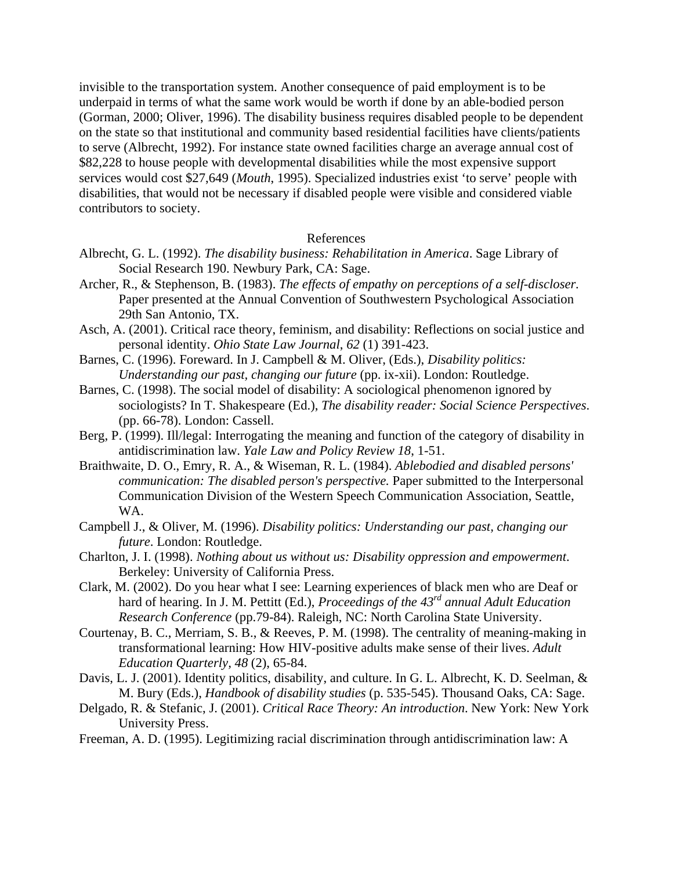invisible to the transportation system. Another consequence of paid employment is to be underpaid in terms of what the same work would be worth if done by an able-bodied person (Gorman, 2000; Oliver, 1996). The disability business requires disabled people to be dependent on the state so that institutional and community based residential facilities have clients/patients to serve (Albrecht, 1992). For instance state owned facilities charge an average annual cost of \$82,228 to house people with developmental disabilities while the most expensive support services would cost \$27,649 (*Mouth*, 1995). Specialized industries exist 'to serve' people with disabilities, that would not be necessary if disabled people were visible and considered viable contributors to society.

## References

- Albrecht, G. L. (1992). *The disability business: Rehabilitation in America*. Sage Library of Social Research 190. Newbury Park, CA: Sage.
- Archer, R., & Stephenson, B. (1983). *The effects of empathy on perceptions of a self-discloser.* Paper presented at the Annual Convention of Southwestern Psychological Association 29th San Antonio, TX.
- Asch, A. (2001). Critical race theory, feminism, and disability: Reflections on social justice and personal identity. *Ohio State Law Journal*, *62* (1) 391-423.
- Barnes, C. (1996). Foreward. In J. Campbell & M. Oliver, (Eds.), *Disability politics: Understanding our past, changing our future* (pp. ix-xii). London: Routledge.
- Barnes, C. (1998). The social model of disability: A sociological phenomenon ignored by sociologists? In T. Shakespeare (Ed.), *The disability reader: Social Science Perspectives*. (pp. 66-78). London: Cassell.
- Berg, P. (1999). Ill/legal: Interrogating the meaning and function of the category of disability in antidiscrimination law. *Yale Law and Policy Review 18*, 1-51.
- Braithwaite, D. O., Emry, R. A., & Wiseman, R. L. (1984). *Ablebodied and disabled persons' communication: The disabled person's perspective.* Paper submitted to the Interpersonal Communication Division of the Western Speech Communication Association, Seattle, WA.
- Campbell J., & Oliver, M. (1996). *Disability politics: Understanding our past, changing our future*. London: Routledge.
- Charlton, J. I. (1998). *Nothing about us without us: Disability oppression and empowerment*. Berkeley: University of California Press.
- Clark, M. (2002). Do you hear what I see: Learning experiences of black men who are Deaf or hard of hearing. In J. M. Pettitt (Ed.), *Proceedings of the 43rd annual Adult Education Research Conference* (pp.79-84). Raleigh, NC: North Carolina State University.
- Courtenay, B. C., Merriam, S. B., & Reeves, P. M. (1998). The centrality of meaning-making in transformational learning: How HIV-positive adults make sense of their lives. *Adult Education Quarterly, 48* (2), 65-84.
- Davis, L. J. (2001). Identity politics, disability, and culture. In G. L. Albrecht, K. D. Seelman, & M. Bury (Eds.), *Handbook of disability studies* (p. 535-545). Thousand Oaks, CA: Sage.
- Delgado, R. & Stefanic, J. (2001). *Critical Race Theory: An introduction*. New York: New York University Press.
- Freeman, A. D. (1995). Legitimizing racial discrimination through antidiscrimination law: A